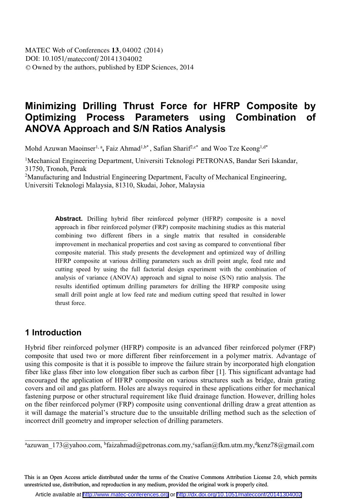# **Minimizing Drilling Thrust Force for HFRP Composite by Optimizing Process Parameters using Combination of ANOVA Approach and S/N Ratios Analysis**

Mohd Azuwan Maoinser<sup>1, a</sup>, Faiz Ahmad<sup>1,b\*</sup>, Safian Sharif<sup>2,c\*</sup> and Woo Tze Keong<sup>1,d\*</sup>

<sup>1</sup>Mechanical Engineering Department, Universiti Teknologi PETRONAS, Bandar Seri Iskandar, 31750, Tronoh, Perak

<sup>2</sup>Manufacturing and Industrial Engineering Department, Faculty of Mechanical Engineering, Universiti Teknologi Malaysia, 81310, Skudai, Johor, Malaysia

> **Abstract.** Drilling hybrid fiber reinforced polymer (HFRP) composite is a novel approach in fiber reinforced polymer (FRP) composite machining studies as this material combining two different fibers in a single matrix that resulted in considerable improvement in mechanical properties and cost saving as compared to conventional fiber composite material. This study presents the development and optimized way of drilling HFRP composite at various drilling parameters such as drill point angle, feed rate and cutting speed by using the full factorial design experiment with the combination of analysis of variance (ANOVA) approach and signal to noise (S/N) ratio analysis. The results identified optimum drilling parameters for drilling the HFRP composite using small drill point angle at low feed rate and medium cutting speed that resulted in lower thrust force.

## **1 Introduction**

\_\_\_\_\_\_\_\_\_\_\_\_\_\_\_\_\_\_\_\_\_\_\_\_\_\_\_\_\_

Hybrid fiber reinforced polymer (HFRP) composite is an advanced fiber reinforced polymer (FRP) composite that used two or more different fiber reinforcement in a polymer matrix. Advantage of using this composite is that it is possible to improve the failure strain by incorporated high elongation fiber like glass fiber into low elongation fiber such as carbon fiber [1]. This significant advantage had encouraged the application of HFRP composite on various structures such as bridge, drain grating covers and oil and gas platform. Holes are always required in these applications either for mechanical fastening purpose or other structural requirement like fluid drainage function. However, drilling holes on the fiber reinforced polymer (FRP) composite using conventional drilling draw a great attention as it will damage the material's structure due to the unsuitable drilling method such as the selection of incorrect drill geometry and improper selection of drilling parameters.

<sup>a</sup>azuwan\_173@yahoo.com, <sup>b</sup>faizahmad@petronas.com.my,°safian@fkm.utm.my,<sup>d</sup>kenz78@gmail.com

This is an Open Access article distributed under the terms of the Creative Commons Attribution License 2.0, which permits unrestricted use, distribution, and reproduction in any medium, provided the original work is properly cited.

Article available at <http://www.matec-conferences.org> or <http://dx.doi.org/10.1051/matecconf/20141304002>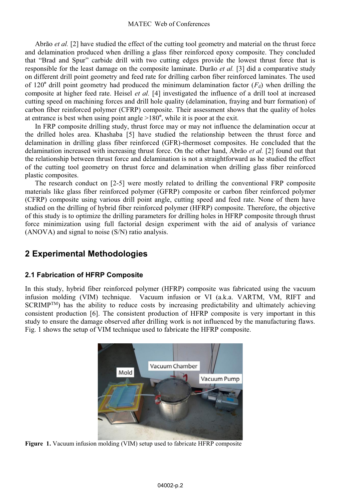#### MATEC Web of Conferences

Abrão *et al.* [2] have studied the effect of the cutting tool geometry and material on the thrust force and delamination produced when drilling a glass fiber reinforced epoxy composite. They concluded that "Brad and Spur" carbide drill with two cutting edges provide the lowest thrust force that is responsible for the least damage on the composite laminate. Durão *et al.* [3] did a comparative study on different drill point geometry and feed rate for drilling carbon fiber reinforced laminates. The used of 120° drill point geometry had produced the minimum delamination factor  $(F_d)$  when drilling the composite at higher feed rate. Heisel *et al.* [4] investigated the influence of a drill tool at increased cutting speed on machining forces and drill hole quality (delamination, fraying and burr formation) of carbon fiber reinforced polymer (CFRP) composite. Their assessment shows that the quality of holes at entrance is best when using point angle >180°, while it is poor at the exit.

In FRP composite drilling study, thrust force may or may not influence the delamination occur at the drilled holes area. Khashaba [5] have studied the relationship between the thrust force and delamination in drilling glass fiber reinforced (GFR)-thermoset composites. He concluded that the delamination increased with increasing thrust force. On the other hand, Abrão *et al.* [2] found out that the relationship between thrust force and delamination is not a straightforward as he studied the effect of the cutting tool geometry on thrust force and delamination when drilling glass fiber reinforced plastic composites.

The research conduct on [2-5] were mostly related to drilling the conventional FRP composite materials like glass fiber reinforced polymer (GFRP) composite or carbon fiber reinforced polymer (CFRP) composite using various drill point angle, cutting speed and feed rate. None of them have studied on the drilling of hybrid fiber reinforced polymer (HFRP) composite. Therefore, the objective of this study is to optimize the drilling parameters for drilling holes in HFRP composite through thrust force minimization using full factorial design experiment with the aid of analysis of variance (ANOVA) and signal to noise (S/N) ratio analysis.

## **2 Experimental Methodologies**

### **2.1 Fabrication of HFRP Composite**

In this study, hybrid fiber reinforced polymer (HFRP) composite was fabricated using the vacuum infusion molding (VIM) technique. Vacuum infusion or VI (a.k.a. VARTM, VM, RIFT and  $SCRIMP^{TM}$ ) has the ability to reduce costs by increasing predictability and ultimately achieving consistent production [6]. The consistent production of HFRP composite is very important in this study to ensure the damage observed after drilling work is not influenced by the manufacturing flaws. Fig. 1 shows the setup of VIM technique used to fabricate the HFRP composite.



**Figure 1.** Vacuum infusion molding (VIM) setup used to fabricate HFRP composite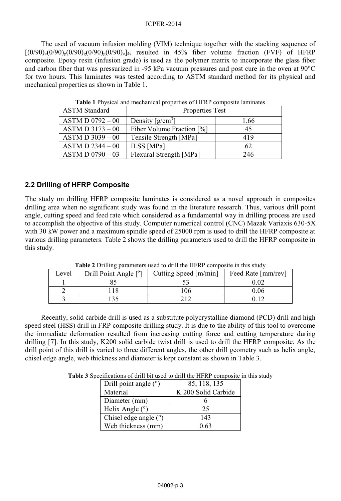The used of vacuum infusion molding (VIM) technique together with the stacking sequence of  $[(0/90)_{c}(0/90)_{g}(0/90)_{g}(0/90)_{g}(0/90)_{c}]_{4s}$  resulted in 45% fiber volume fraction (FVF) of HFRP composite. Epoxy resin (infusion grade) is used as the polymer matrix to incorporate the glass fiber and carbon fiber that was pressurized in -95 kPa vacuum pressures and post cure in the oven at 90°C for two hours. This laminates was tested according to ASTM standard method for its physical and mechanical properties as shown in Table 1.

| <b>ASTM Standard</b> | Properties Test                |      |  |
|----------------------|--------------------------------|------|--|
| $ASTM D 0792 - 00$   | Density $\lceil g/cm^3 \rceil$ | 1.66 |  |
| $ASTM D 3173 - 00$   | Fiber Volume Fraction [%]      | 45   |  |
| $ASTM D 3039 - 00$   | Tensile Strength [MPa]         | 419  |  |
| $ASTM D 2344 - 00$   | ILSS [MPa]                     | 62   |  |
| $ASTM D 0790 - 03$   | Flexural Strength [MPa]        | 246  |  |

**Table 1** Physical and mechanical properties of HFRP composite laminates

### **2.2 Drilling of HFRP Composite**

The study on drilling HFRP composite laminates is considered as a novel approach in composites drilling area when no significant study was found in the literature research. Thus, various drill point angle, cutting speed and feed rate which considered as a fundamental way in drilling process are used to accomplish the objective of this study. Computer numerical control (CNC) Mazak Variaxis 630-5X with 30 kW power and a maximum spindle speed of 25000 rpm is used to drill the HFRP composite at various drilling parameters. Table 2 shows the drilling parameters used to drill the HFRP composite in this study.

| Level | Drill Point Angle [°] | <b>TWORK A</b> DIMINING DWIGHTOWN WOOG TO GIME THE THE COMPOSITO IN THIS STRONG<br>Cutting Speed [m/min] | Feed Rate [mm/rev] |
|-------|-----------------------|----------------------------------------------------------------------------------------------------------|--------------------|
|       |                       |                                                                                                          | .02                |
|       |                       | 06                                                                                                       | 9.06               |
|       |                       |                                                                                                          |                    |

**Table 2** Drilling parameters used to drill the HFRP composite in this study

Recently, solid carbide drill is used as a substitute polycrystalline diamond (PCD) drill and high speed steel (HSS) drill in FRP composite drilling study. It is due to the ability of this tool to overcome the immediate deformation resulted from increasing cutting force and cutting temperature during drilling [7]. In this study, K200 solid carbide twist drill is used to drill the HFRP composite. As the drill point of this drill is varied to three different angles, the other drill geometry such as helix angle, chisel edge angle, web thickness and diameter is kept constant as shown in Table 3.

|  |  | Table 3 Specifications of drill bit used to drill the HFRP composite in this study |  |
|--|--|------------------------------------------------------------------------------------|--|
|  |  |                                                                                    |  |

| Drill point angle (°)   | 85, 118, 135        |
|-------------------------|---------------------|
| Material                | K 200 Solid Carbide |
| Diameter (mm)           |                     |
| Helix Angle $(°)$       | 25                  |
| Chisel edge angle $(°)$ | 143                 |
| Web thickness (mm)      | 0.63                |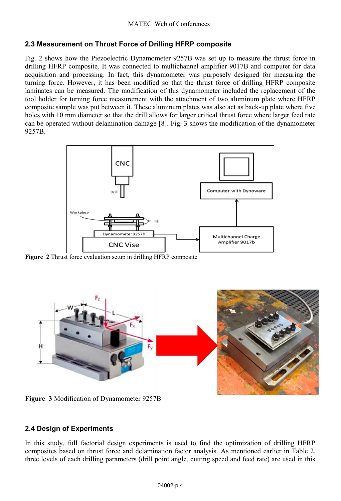### **2.3 Measurement on Thrust Force of Drilling HFRP composite**

Fig. 2 shows how the Piezoelectric Dynamometer 9257B was set up to measure the thrust force in drilling HFRP composite. It was connected to multichannel amplifier 9017B and computer for data acquisition and processing. In fact, this dynamometer was purposely designed for measuring the turning force. However, it has been modified so that the thrust force of drilling HFRP composite laminates can be measured. The modification of this dynamometer included the replacement of the tool holder for turning force measurement with the attachment of two aluminum plate where HFRP composite sample was put between it. These aluminum plates was also act as back-up plate where five holes with 10 mm diameter so that the drill allows for larger critical thrust force where larger feed rate can be operated without delamination damage [8]. Fig. 3 shows the modification of the dynamometer 9257B.



**Figure 2** Thrust force evaluation setup in drilling HFRP composite



**Figure 3** Modification of Dynamometer 9257B

### **2.4 Design of Experiments**

In this study, full factorial design experiments is used to find the optimization of drilling HFRP composites based on thrust force and delamination factor analysis. As mentioned earlier in Table 2, three levels of each drilling parameters (drill point angle, cutting speed and feed rate) are used in this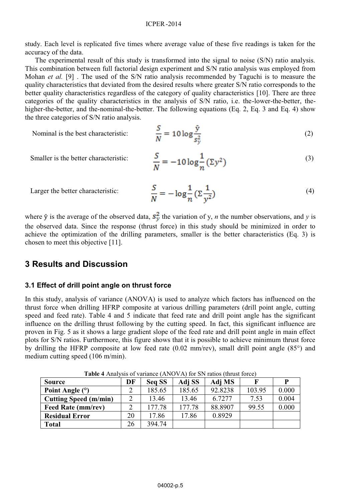#### ICPER -2014

study. Each level is replicated five times where average value of these five readings is taken for the accuracy of the data.

The experimental result of this study is transformed into the signal to noise (S/N) ratio analysis. This combination between full factorial design experiment and S/N ratio analysis was employed from Mohan *et al.* [9] . The used of the S/N ratio analysis recommended by Taguchi is to measure the quality characteristics that deviated from the desired results where greater S/N ratio corresponds to the better quality characteristics regardless of the category of quality characteristics [10]. There are three categories of the quality characteristics in the analysis of S/N ratio, i.e. the-lower-the-better, thehigher-the-better, and the-nominal-the-better. The following equations (Eq. 2, Eq. 3 and Eq. 4) show the three categories of S/N ratio analysis.

Nominal is the best characteristic:

$$
\frac{S}{N} = 10 \log \frac{\bar{y}}{s_y^2}
$$
 (2)

Smaller is the better characteristic:

$$
\frac{S}{N} = -10\log\frac{1}{n}(\Sigma y^2)
$$
\n(3)

Larger the better characteristic:

$$
\frac{S}{N} = -\log \frac{1}{n} \left( \Sigma \frac{1}{y^2} \right) \tag{4}
$$

where  $\bar{y}$  is the average of the observed data,  $s_y^2$  the variation of y, *n* the number observations, and *y* is the observed data. Since the response (thrust force) in this study should be minimized in order to achieve the optimization of the drilling parameters, smaller is the better characteristics (Eq. 3) is chosen to meet this objective [11].

### **3 Results and Discussion**

#### **3.1 Effect of drill point angle on thrust force**

In this study, analysis of variance (ANOVA) is used to analyze which factors has influenced on the thrust force when drilling HFRP composite at various drilling parameters (drill point angle, cutting speed and feed rate). Table 4 and 5 indicate that feed rate and drill point angle has the significant influence on the drilling thrust following by the cutting speed. In fact, this significant influence are proven in Fig. 5 as it shows a large gradient slope of the feed rate and drill point angle in main effect plots for S/N ratios. Furthermore, this figure shows that it is possible to achieve minimum thrust force by drilling the HFRP composite at low feed rate (0.02 mm/rev), small drill point angle (85°) and medium cutting speed (106 m/min).

| <b>Source</b>         | DF | Seq SS | Adj SS | Adj MS  | F      | P     |
|-----------------------|----|--------|--------|---------|--------|-------|
| Point Angle $(°)$     |    | 185.65 | 185.65 | 92.8238 | 103.95 | 0.000 |
| Cutting Speed (m/min) |    | 13.46  | 13.46  | 6.7277  | 7.53   | 0.004 |
| Feed Rate (mm/rev)    |    | 177.78 | 177.78 | 88.8907 | 99.55  | 0.000 |
| <b>Residual Error</b> | 20 | 17.86  | 17.86  | 0.8929  |        |       |
| <b>Total</b>          | 26 | 394.74 |        |         |        |       |

**Table 4** Analysis of variance (ANOVA) for SN ratios (thrust force)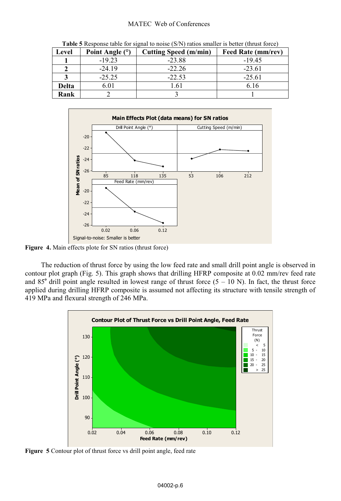#### MATEC Web of Conferences

| <b>Twore</b> creopense there for signal to holde (b/1) ratios simally to oction (thrust force) |                 |                       |                           |  |  |  |
|------------------------------------------------------------------------------------------------|-----------------|-----------------------|---------------------------|--|--|--|
| Level                                                                                          | Point Angle (°) | Cutting Speed (m/min) | <b>Feed Rate (mm/rev)</b> |  |  |  |
|                                                                                                | $-19.23$        | $-23.88$              | $-19.45$                  |  |  |  |
|                                                                                                | $-24.19$        | $-22.26$              | $-23.61$                  |  |  |  |
|                                                                                                | $-25.25$        | $-22.53$              | $-25.61$                  |  |  |  |
| <b>Delta</b>                                                                                   | 6.01            | 1.61                  | 6.16                      |  |  |  |
| Rank                                                                                           |                 |                       |                           |  |  |  |

**Table 5** Response table for signal to noise (S/N) ratios smaller is better (thrust force)



**Figure 4.** Main effects plote for SN ratios (thrust force)

The reduction of thrust force by using the low feed rate and small drill point angle is observed in contour plot graph (Fig. 5). This graph shows that drilling HFRP composite at 0.02 mm/rev feed rate and 85° drill point angle resulted in lowest range of thrust force  $(5 - 10 \text{ N})$ . In fact, the thrust force applied during drilling HFRP composite is assumed not affecting its structure with tensile strength of 419 MPa and flexural strength of 246 MPa.



**Figure 5** Contour plot of thrust force vs drill point angle, feed rate